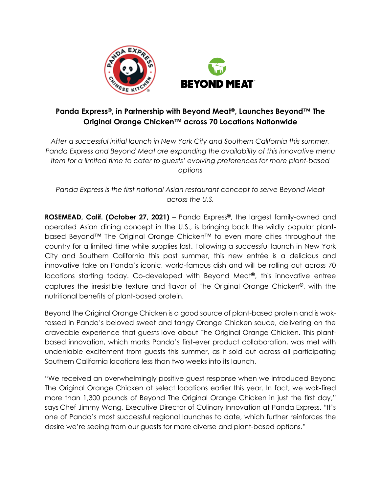

## **Panda Express®, in Partnership with Beyond Meat®, Launches Beyond™ The Original Orange Chicken™ across 70 Locations Nationwide**

*After a successful initial launch in New York City and Southern California this summer, Panda Express and Beyond Meat are expanding the availability of this innovative menu item for a limited time to cater to guests' evolving preferences for more plant-based options* 

*Panda Express is the first national Asian restaurant concept to serve Beyond Meat across the U.S.*

**ROSEMEAD, Calif. (October 27, 2021)** – Panda Express**®**, the largest family-owned and operated Asian dining concept in the U.S., is bringing back the wildly popular plantbased Beyond™ The Original Orange Chicken™ to even more cities throughout the country for a limited time while supplies last. Following a successful launch in New York City and Southern California this past summer, this new entrée is a delicious and innovative take on Panda's iconic, world-famous dish and will be rolling out across 70 locations starting today. Co-developed with Beyond Meat**®**, this innovative entree captures the irresistible texture and flavor of The Original Orange Chicken**®**, with the nutritional benefits of plant-based protein.

Beyond The Original Orange Chicken is a good source of plant-based protein and is woktossed in Panda's beloved sweet and tangy Orange Chicken sauce, delivering on the craveable experience that guests love about The Original Orange Chicken. This plantbased innovation, which marks Panda's first-ever product collaboration, was met with undeniable excitement from guests this summer, as it sold out across all participating Southern California locations less than two weeks into its launch.

"We received an overwhelmingly positive guest response when we introduced Beyond The Original Orange Chicken at select locations earlier this year. In fact, we wok-fired more than 1,300 pounds of Beyond The Original Orange Chicken in just the first day," says Chef Jimmy Wang, Executive Director of Culinary Innovation at Panda Express. "It's one of Panda's most successful regional launches to date, which further reinforces the desire we're seeing from our guests for more diverse and plant-based options."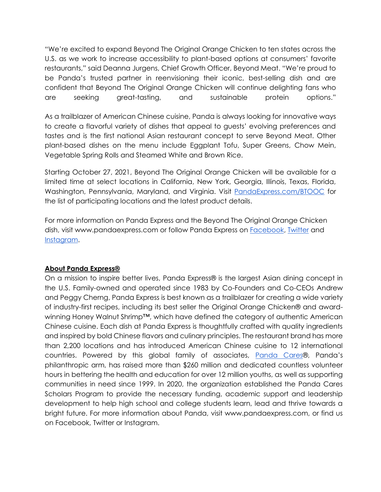"We're excited to expand Beyond The Original Orange Chicken to ten states across the U.S. as we work to increase accessibility to plant-based options at consumers' favorite restaurants," said Deanna Jurgens, Chief Growth Officer, Beyond Meat. "We're proud to be Panda's trusted partner in reenvisioning their iconic, best-selling dish and are confident that Beyond The Original Orange Chicken will continue delighting fans who are seeking great-tasting, and sustainable protein options."

As a trailblazer of American Chinese cuisine, Panda is always looking for innovative ways to create a flavorful variety of dishes that appeal to guests' evolving preferences and tastes and is the first national Asian restaurant concept to serve Beyond Meat. Other plant-based dishes on the menu include Eggplant Tofu, Super Greens, Chow Mein, Vegetable Spring Rolls and Steamed White and Brown Rice.

Starting October 27, 2021, Beyond The Original Orange Chicken will be available for a limited time at select locations in California, New York, Georgia, Illinois, Texas, Florida, Washington, Pennsylvania, Maryland, and Virginia. Visit [PandaExpress.com/BTOOC](https://www.pandaexpress.com/btooc) for the list of participating locations and the latest product details.

For more information on Panda Express and the Beyond The Original Orange Chicken dish, visit www.pandaexpress.com or follow Panda Express o[n](https://www.facebook.com/PandaExpress/) [Facebook,](https://www.facebook.com/PandaExpress/) [Twitter](https://twitter.com/pandaexpress) an[d](https://www.instagram.com/officialpandaexpress/?hl=en) [Instagram.](https://www.instagram.com/officialpandaexpress/?hl=en)

## **About Panda Express®**

On a mission to inspire better lives, Panda Express® is the largest Asian dining concept in the U.S. Family-owned and operated since 1983 by Co-Founders and Co-CEOs Andrew and Peggy Cherng, Panda Express is best known as a trailblazer for creating a wide variety of industry-first recipes, including its best seller the Original Orange Chicken® and awardwinning Honey Walnut Shrimp™, which have defined the category of authentic American Chinese cuisine. Each dish at Panda Express is thoughtfully crafted with quality ingredients and inspired by bold Chinese flavors and culinary principles. The restaurant brand has more than 2,200 locations and has introduced American Chinese cuisine to 12 international countries. Powered by this global family of associates, [Panda Cares](https://www.pandacares.org/)®, Panda's philanthropic arm, has raised more than \$260 million and dedicated countless volunteer hours in bettering the health and education for over 12 million youths, as well as supporting communities in need since 1999. In 2020, the organization established the Panda Cares Scholars Program to provide the necessary funding, academic support and leadership development to help high school and college students learn, lead and thrive towards a bright future. For more information about Panda, visit www.pandaexpress.com, or find us on Facebook, Twitter or Instagram.